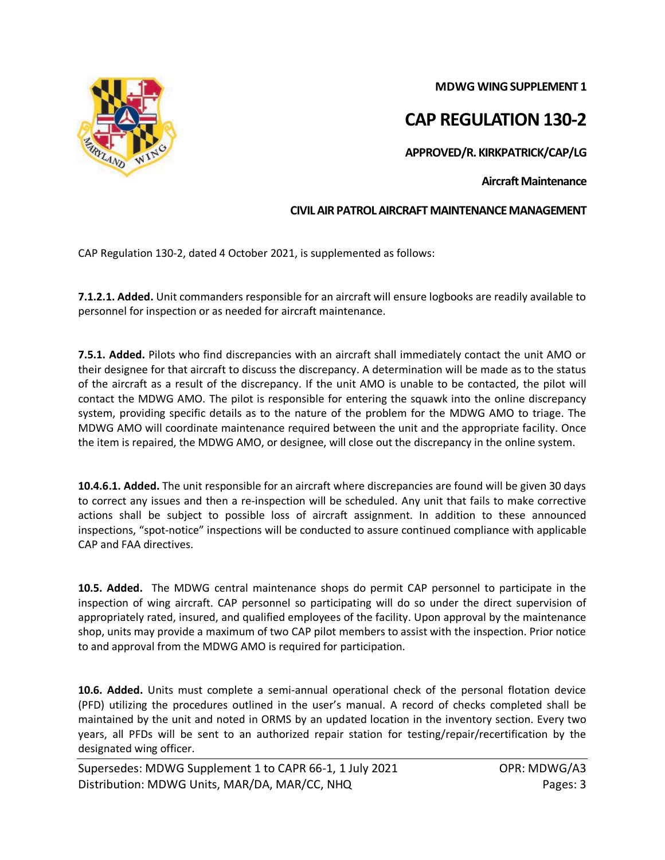**MDWG WING SUPPLEMENT 1**

## **CAP REGULATION 130-2**

**APPROVED/R. KIRKPATRICK/CAP/LG**

**Aircraft Maintenance**

## **CIVIL AIR PATROL AIRCRAFT MAINTENANCE MANAGEMENT**

CAP Regulation 130-2, dated 4 October 2021, is supplemented as follows:

**7.1.2.1. Added.** Unit commanders responsible for an aircraft will ensure logbooks are readily available to personnel for inspection or as needed for aircraft maintenance.

**7.5.1. Added.** Pilots who find discrepancies with an aircraft shall immediately contact the unit AMO or their designee for that aircraft to discuss the discrepancy. A determination will be made as to the status of the aircraft as a result of the discrepancy. If the unit AMO is unable to be contacted, the pilot will contact the MDWG AMO. The pilot is responsible for entering the squawk into the online discrepancy system, providing specific details as to the nature of the problem for the MDWG AMO to triage. The MDWG AMO will coordinate maintenance required between the unit and the appropriate facility. Once the item is repaired, the MDWG AMO, or designee, will close out the discrepancy in the online system.

**10.4.6.1. Added.** The unit responsible for an aircraft where discrepancies are found will be given 30 days to correct any issues and then a re-inspection will be scheduled. Any unit that fails to make corrective actions shall be subject to possible loss of aircraft assignment. In addition to these announced inspections, "spot-notice" inspections will be conducted to assure continued compliance with applicable CAP and FAA directives.

**10.5. Added.** The MDWG central maintenance shops do permit CAP personnel to participate in the inspection of wing aircraft. CAP personnel so participating will do so under the direct supervision of appropriately rated, insured, and qualified employees of the facility. Upon approval by the maintenance shop, units may provide a maximum of two CAP pilot members to assist with the inspection. Prior notice to and approval from the MDWG AMO is required for participation.

**10.6. Added.** Units must complete a semi-annual operational check of the personal flotation device (PFD) utilizing the procedures outlined in the user's manual. A record of checks completed shall be maintained by the unit and noted in ORMS by an updated location in the inventory section. Every two years, all PFDs will be sent to an authorized repair station for testing/repair/recertification by the designated wing officer.

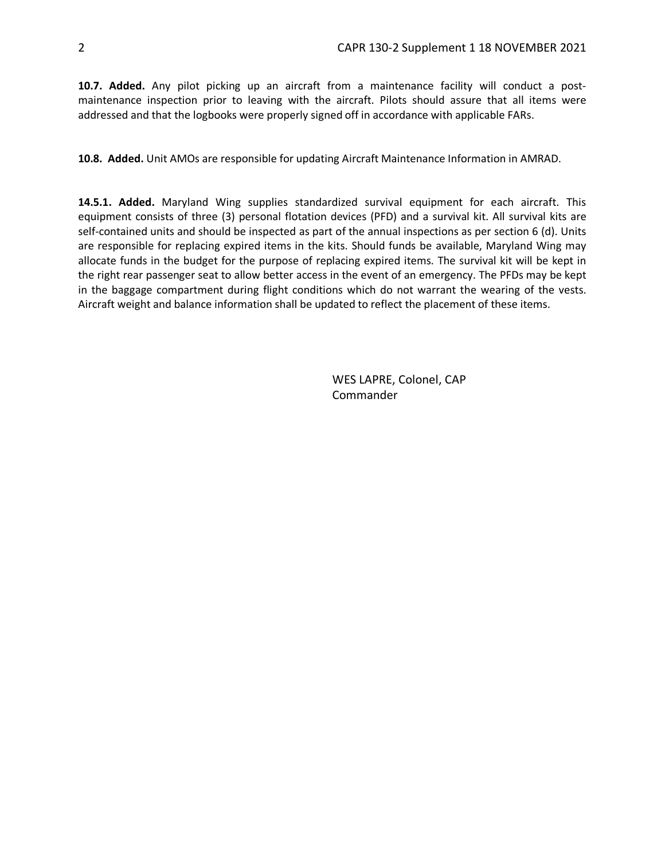**10.7. Added.** Any pilot picking up an aircraft from a maintenance facility will conduct a postmaintenance inspection prior to leaving with the aircraft. Pilots should assure that all items were addressed and that the logbooks were properly signed off in accordance with applicable FARs.

**10.8. Added.** Unit AMOs are responsible for updating Aircraft Maintenance Information in AMRAD.

**14.5.1. Added.** Maryland Wing supplies standardized survival equipment for each aircraft. This equipment consists of three (3) personal flotation devices (PFD) and a survival kit. All survival kits are self-contained units and should be inspected as part of the annual inspections as per section 6 (d). Units are responsible for replacing expired items in the kits. Should funds be available, Maryland Wing may allocate funds in the budget for the purpose of replacing expired items. The survival kit will be kept in the right rear passenger seat to allow better access in the event of an emergency. The PFDs may be kept in the baggage compartment during flight conditions which do not warrant the wearing of the vests. Aircraft weight and balance information shall be updated to reflect the placement of these items.

> WES LAPRE, Colonel, CAP Commander